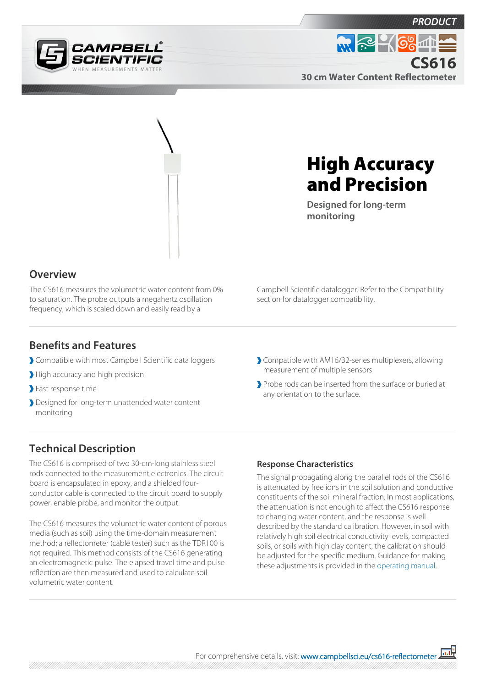





# High Accuracy and Precision

**Designed for long-term monitoring**

#### **Overview**

The CS616 measures the volumetric water content from 0% to saturation. The probe outputs a megahertz oscillation frequency, which is scaled down and easily read by a

Campbell Scientific datalogger. Refer to the Compatibility section for datalogger compatibility.

#### **Benefits and Features**

- Compatible with most Campbell Scientific data loggers
- High accuracy and high precision
- Fast response time
- Designed for long-term unattended water content monitoring

Compatible with AM16/32-series multiplexers, allowing measurement of multiple sensors

Probe rods can be inserted from the surface or buried at any orientation to the surface.

### **Technical Description**

The CS616 is comprised of two 30-cm-long stainless steel rods connected to the measurement electronics. The circuit board is encapsulated in epoxy, and a shielded fourconductor cable is connected to the circuit board to supply power, enable probe, and monitor the output.

The CS616 measures the volumetric water content of porous media (such as soil) using the time-domain measurement method; a reflectometer (cable tester) such as the TDR100 is not required. This method consists of the CS616 generating an electromagnetic pulse. The elapsed travel time and pulse reflection are then measured and used to calculate soil volumetric water content.

#### **Response Characteristics**

The signal propagating along the parallel rods of the CS616 is attenuated by free ions in the soil solution and conductive constituents of the soil mineral fraction. In most applications, the attenuation is not enough to affect the CS616 response to changing water content, and the response is well described by the standard calibration. However, in soil with relatively high soil electrical conductivity levels, compacted soils, or soils with high clay content, the calibration should be adjusted for the specific medium. Guidance for making these adjustments is provided in the [operating manual.](https://s.campbellsci.com/documents/us/manuals/cs616.pdf)